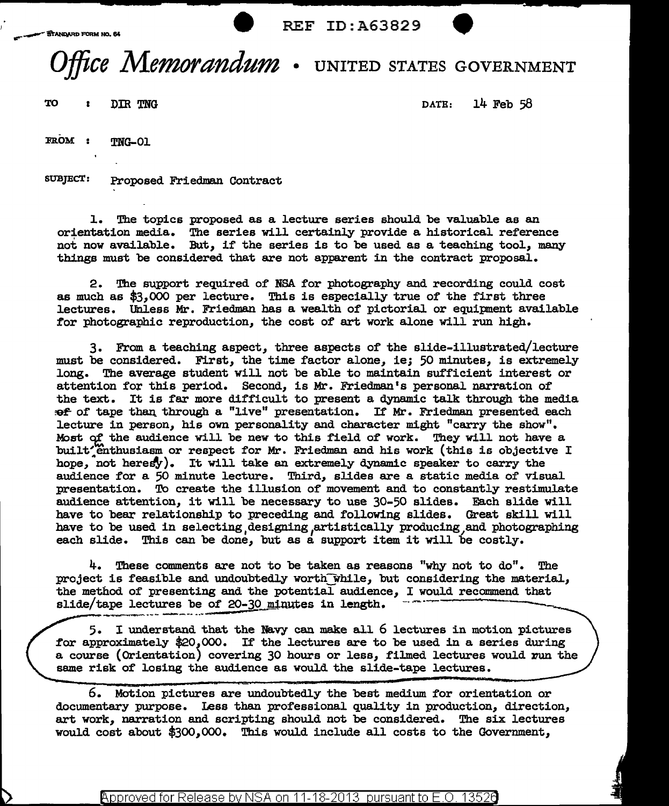## Office Memorandum . UNITED STATES GOVERNMENT

 $T$ O : DIR TNG  $R$  DATE: 14 Feb 58

FROM : TNG-01

StraJEcT: Proposed Friedman Contract

l. The topics proposed as a lecture series should be valuable as an orientation media. The series will certainly provide a historical reference not now available. But, if the series is to be used as a teaching tool, many things must be considered that are not apparent in the contract proposal.

2. The support required of NSA for photography and recording could cost as much as \$3,000 per lecture. This is especially true of the first three lectures. Unless Mr. Friedman has a wealth of pictorial or equipment available for photographic reproduction, the cost of art work alone will run high.

3. From a teaching aspect, three aspects of the slide-illustrated/lecture must be considered. First, the time factor alone, ie; 50 minutes, is extremely long. The average student will not be able to maintain sufficient interest or attention for this period. Second, is Mr. Friedman's personal narration of the text. It is far more difficult to present a dynamic talk through the media :ef of tape than through a "live" presentation. If Mr. Friedman presented each lecture in person, his own personality and character might "carry the show". Most of the audience will be new to this field of work. They will not have a built<sup>\*</sup>Enthusiasm or respect for Mr. Friedman and his work (this is objective I hope, not heresy). It will take an extremely dynamic speaker to carry the audience for a 50 minute lecture. Third, slides are a static media of visual presentation. To create the illusion of movement and to constantly restimulate audience attention, it will be necessary to use 30-50 slides. Each slide will have to bear relationship to preceding and following slides. Great skill will have to be used in selecting designing artistically producing and photographing each slide. This can be done, but as a support item it will be costly.

4. These comments are not to be taken as reasons "why not to do". The project is feasible and undoubtedly worth while, but considering the material, the method of presenting and the potential audience, I would recommend that slide/tape lectures be of 20-30\_minutes in length.

5. I understand that the Navy can make all 6 lectures in motion pictures for approximately \$20,000. If' the lectures are to be used in a series during a course (Orientation) covering 30 hours or less, filmed lectures would run the same risk of losing the audience as would the slide-tape lectures.

6. Motion pictures are undoubtedly the best medium for orientation or documentary purpose. Less than professional quality in production, direction, art work, narration and scripting should not be considered. The six lectures would cost about \$300,000. This would include all costs to the Government,